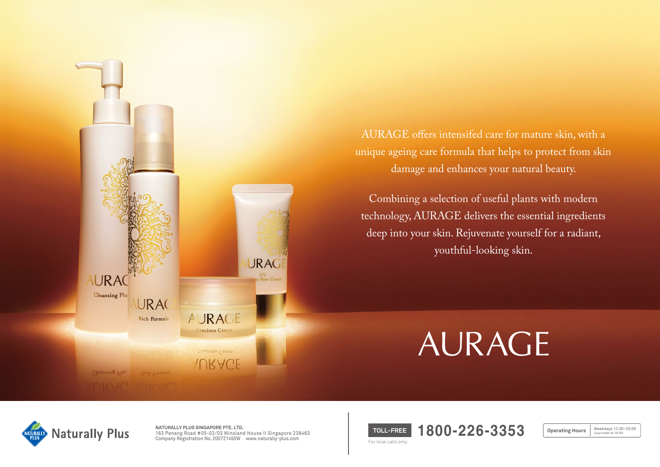

AURAGE offers intensifed care for mature skin, with a unique ageing care formula that helps to protect from skin damage and enhances your natural beauty.

Combining a selection of useful plants with modern technology, AURAGE delivers the essential ingredients deep into your skin. Rejuvenate yourself for a radiant, youthful-looking skin.

# AURAGE



**NATURALLY PLUS SINGAPORE PTE. LTD.**  163 Penang Road #05-02/03 Winsland House II Singapore 238463 Company Registration No. 200721450W www.naturally-plus.com

**TOLL-FREE 1800-226-3353** For local calls only.

Weekdays 12:30~20:00<br>(Last order at 19:30) **Operating Hours**